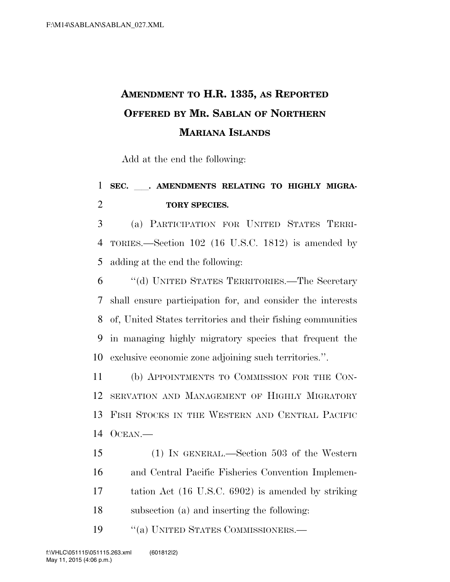## **AMENDMENT TO H.R. 1335, AS REPORTED OFFERED BY MR. SABLAN OF NORTHERN MARIANA ISLANDS**

Add at the end the following:

## 1 SEC. . AMENDMENTS RELATING TO HIGHLY MIGRA-**TORY SPECIES.**

 (a) PARTICIPATION FOR UNITED STATES TERRI- TORIES.—Section 102 (16 U.S.C. 1812) is amended by adding at the end the following:

 ''(d) UNITED STATES TERRITORIES.—The Secretary shall ensure participation for, and consider the interests of, United States territories and their fishing communities in managing highly migratory species that frequent the exclusive economic zone adjoining such territories.''.

 (b) APPOINTMENTS TO COMMISSION FOR THE CON- SERVATION AND MANAGEMENT OF HIGHLY MIGRATORY FISH STOCKS IN THE WESTERN AND CENTRAL PACIFIC OCEAN.—

 (1) IN GENERAL.—Section 503 of the Western and Central Pacific Fisheries Convention Implemen- tation Act (16 U.S.C. 6902) is amended by striking subsection (a) and inserting the following:

19 "(a) UNITED STATES COMMISSIONERS.—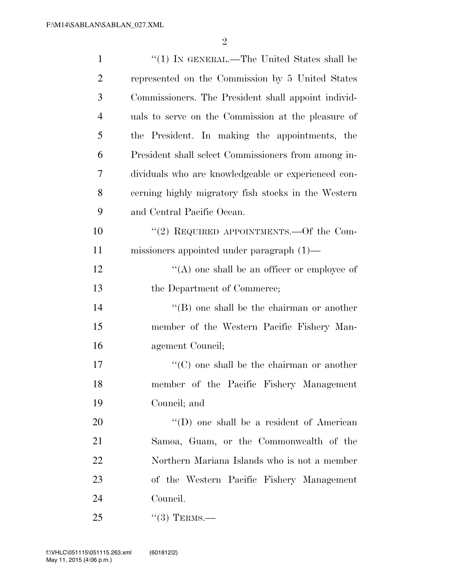| $\mathbf{1}$   | "(1) IN GENERAL.—The United States shall be         |
|----------------|-----------------------------------------------------|
| $\overline{2}$ | represented on the Commission by 5 United States    |
| 3              | Commissioners. The President shall appoint individ- |
| $\overline{4}$ | uals to serve on the Commission at the pleasure of  |
| 5              | the President. In making the appointments, the      |
| 6              | President shall select Commissioners from among in- |
| 7              | dividuals who are knowledgeable or experienced con- |
| 8              | cerning highly migratory fish stocks in the Western |
| 9              | and Central Pacific Ocean.                          |
| 10             | "(2) REQUIRED APPOINTMENTS.—Of the Com-             |
| 11             | missioners appointed under paragraph $(1)$ —        |
| 12             | $\lq\lq$ one shall be an officer or employee of     |
| 13             | the Department of Commerce;                         |
| 14             | $\lq\lq$ one shall be the chairman or another       |
| 15             | member of the Western Pacific Fishery Man-          |
| 16             | agement Council;                                    |
| 17             | $\lq\lq$ (C) one shall be the chairman or another   |
| 18             | member of the Pacific Fishery Management            |
| 19             | Council; and                                        |
| 20             | $\lq\lq$ (D) one shall be a resident of American    |
| 21             | Samoa, Guam, or the Commonwealth of the             |
| 22             | Northern Mariana Islands who is not a member        |
| 23             | of the Western Pacific Fishery Management           |
| 24             | Council.                                            |
| 25             | $\cdot\cdot(3)$ TERMS.—                             |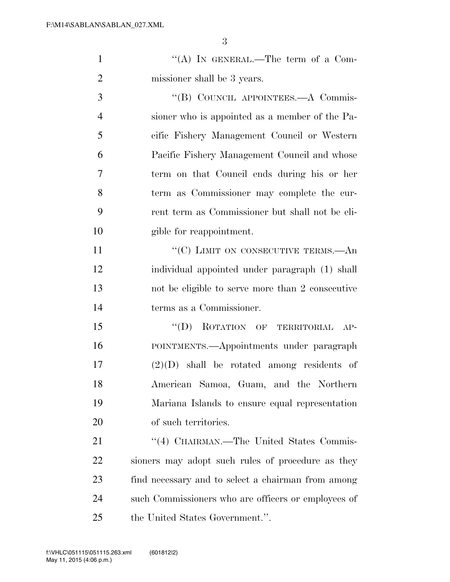|                | 3                                                |
|----------------|--------------------------------------------------|
| $\mathbf{1}$   | "(A) IN GENERAL.—The term of a Com-              |
| $\overline{2}$ | missioner shall be 3 years.                      |
| 3              | "(B) COUNCIL APPOINTEES.—A Commis-               |
| $\overline{4}$ | sioner who is appointed as a member of the Pa-   |
| 5              | cific Fishery Management Council or Western      |
| 6              | Pacific Fishery Management Council and whose     |
| 7              | term on that Council ends during his or her      |
| 8              | term as Commissioner may complete the cur-       |
| 9              | rent term as Commissioner but shall not be eli-  |
| 10             | gible for reappointment.                         |
| 11             | "(C) LIMIT ON CONSECUTIVE TERMS.—An              |
| 12             | individual appointed under paragraph (1) shall   |
| 13             | not be eligible to serve more than 2 consecutive |
| 14             | terms as a Commissioner.                         |
| 15             | ROTATION OF TERRITORIAL<br>$\lq\lq (D)$<br>$AP-$ |
| 16             | POINTMENTS.—Appointments under paragraph         |
| 17             | $(2)(D)$ shall be rotated among residents of     |
| 18             | American Samoa, Guam, and the Northern           |

of such territories.

21 "(4) CHAIRMAN.—The United States Commis- sioners may adopt such rules of procedure as they find necessary and to select a chairman from among such Commissioners who are officers or employees of the United States Government.''.

Mariana Islands to ensure equal representation